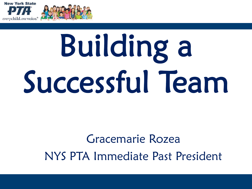



#### Gracemarie Rozea NYS PTA Immediate Past President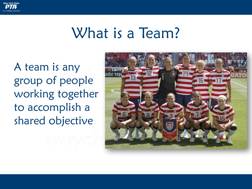

#### What is a Team?

A team is any group of people working together to accomplish a shared objective

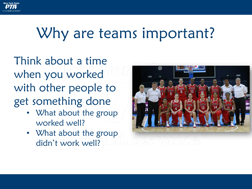

#### Why are teams important?

Think about a time when you worked with other people to get something done

- What about the group worked well?
- What about the group didn't work well?

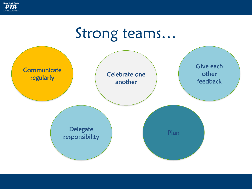

#### Strong teams…

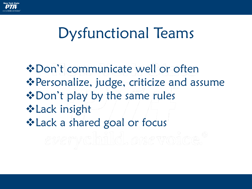

## Dysfunctional Teams

❖Don't communicate well or often ❖Personalize, judge, criticize and assume ❖Don't play by the same rules ❖Lack insight ❖Lack a shared goal or focus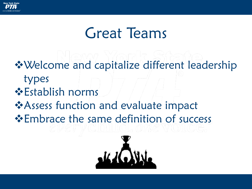

## Great Teams

❖Welcome and capitalize different leadership types ❖Establish norms ❖Assess function and evaluate impact ❖Embrace the same definition of success

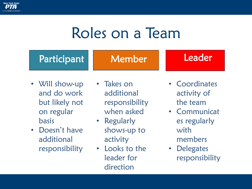

## Roles on a Team

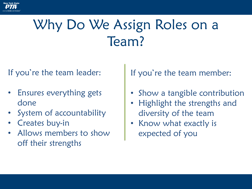

## Why Do We Assign Roles on a Team?

If you're the team leader:

- Ensures everything gets done
- System of accountability
- Creates buy-in
- Allows members to show off their strengths

If you're the team member:

- Show a tangible contribution
- Highlight the strengths and diversity of the team
- Know what exactly is expected of you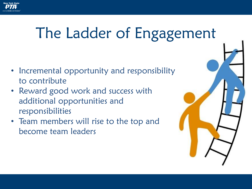## The Ladder of Engagement

- Incremental opportunity and responsibility to contribute
- Reward good work and success with additional opportunities and responsibilities
- Team members will rise to the top and become team leaders

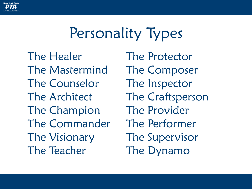

## Personality Types

The Healer The Mastermind The Counselor The Architect The Champion The Commander The Visionary The Teacher

The Protector The Composer The Inspector The Craftsperson The Provider The Performer The Supervisor The Dynamo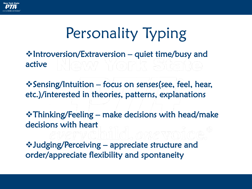

# Personality Typing

❖Introversion/Extraversion – quiet time/busy and active

❖Sensing/Intuition – focus on senses(see, feel, hear, etc.)/interested in theories, patterns, explanations

❖Thinking/Feeling – make decisions with head/make decisions with heart

❖Judging/Perceiving – appreciate structure and order/appreciate flexibility and spontaneity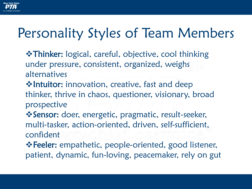#### Personality Styles of Team Members

- ❖Thinker: logical, careful, objective, cool thinking under pressure, consistent, organized, weighs alternatives
- ❖Intuitor: innovation, creative, fast and deep thinker, thrive in chaos, questioner, visionary, broad prospective
- ❖Sensor: doer, energetic, pragmatic, result-seeker, multi-tasker, action-oriented, driven, self-sufficient, confident
- ❖Feeler: empathetic, people-oriented, good listener, patient, dynamic, fun-loving, peacemaker, rely on gut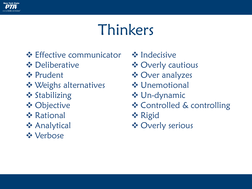

## Thinkers

- ❖ Effective communicator
- ❖ Deliberative
- ❖ Prudent
- ❖ Weighs alternatives
- ❖ Stabilizing
- ❖ Objective
- ❖ Rational
- ❖ Analytical
- ❖ Verbose
- ❖ Indecisive
- ❖ Overly cautious
- ❖ Over analyzes
- ❖ Unemotional
- ❖ Un-dynamic
- ❖ Controlled & controlling
- ❖ Rigid
- ❖ Overly serious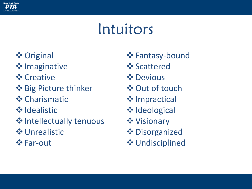

## Intuitors

- ❖Original
- **❖ Imaginative**
- **❖** Creative
- ❖Big Picture thinker
- ❖Charismatic
- **❖ Idealistic**
- **❖ Intellectually tenuous**
- ❖Unrealistic
- ❖Far-out
- ❖Fantasy-bound
- ❖Scattered
- ❖Devious
- ❖Out of touch
- **❖** Impractical
- **❖ Ideological**
- ❖Visionary
- ❖Disorganized
- ❖Undisciplined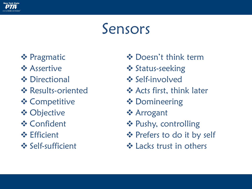

#### Sensors

- ❖ Pragmatic
- ❖ Assertive
- ❖ Directional
- ❖ Results-oriented
- ❖ Competitive
- ❖ Objective
- ❖ Confident
- ❖ Efficient
- ❖ Self-sufficient
- ❖ Doesn't think term
- ❖ Status-seeking
- ❖ Self-involved
- ❖ Acts first, think later
- ❖ Domineering
- ❖ Arrogant
- ❖ Pushy, controlling
- ❖ Prefers to do it by self
- **❖ Lacks trust in others**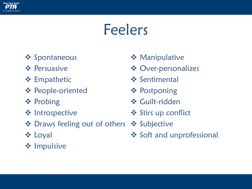

## Feelers

- ❖ Spontaneous
- ❖ Persuasive
- ❖ Empathetic
- ❖ People-oriented
- ❖ Probing
- ❖ Introspective
- ❖ Draws feeling out of others ❖ Subjective
- ❖ Loyal
- ❖ Impulsive
- ❖ Manipulative
- ❖ Over-personalizes
- ❖ Sentimental
- ❖ Postponing
- ❖ Guilt-ridden
- ❖ Stirs up conflict
- - ❖ Soft and unprofessional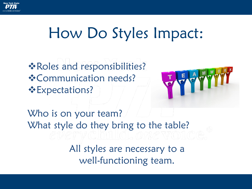

## How Do Styles Impact:

❖Roles and responsibilities? ❖Communication needs? ❖Expectations?



Who is on your team? What style do they bring to the table?

> All styles are necessary to a well-functioning team.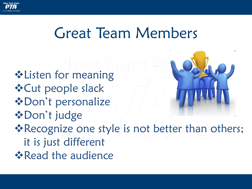

## Great Team Members

❖Listen for meaning ❖Cut people slack ❖Don't personalize ❖Don't judge ❖Recognize one style is not better than others; it is just different **❖ Read the audience**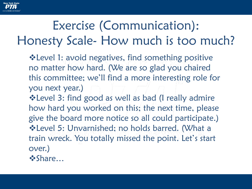

#### Exercise (Communication): Honesty Scale- How much is too much?

- ❖Level 1: avoid negatives, find something positive no matter how hard. (We are so glad you chaired this committee; we'll find a more interesting role for you next year.)
- ❖Level 3: find good as well as bad (I really admire how hard you worked on this; the next time, please give the board more notice so all could participate.) ❖Level 5: Unvarnished; no holds barred. (What a train wreck. You totally missed the point. Let's start over.) ❖Share…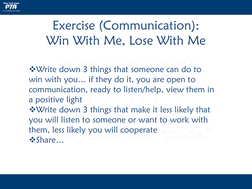

#### Exercise (Communication): Win With Me, Lose With Me

❖Write down 3 things that someone can do to win with you… if they do it, you are open to communication, ready to listen/help, view them in a positive light ❖Write down 3 things that make it less likely that you will listen to someone or want to work with them, less likely you will cooperate ❖Share…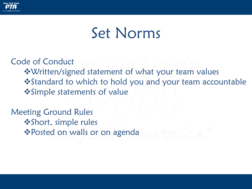

#### Set Norms

Code of Conduct

❖Written/signed statement of what your team values

❖Standard to which to hold you and your team accountable ❖Simple statements of value

Meeting Ground Rules ❖Short, simple rules ❖Posted on walls or on agenda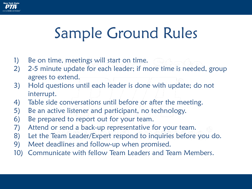

# Sample Ground Rules

- 1) Be on time, meetings will start on time.
- 2) 2-5 minute update for each leader; if more time is needed, group agrees to extend.
- 3) Hold questions until each leader is done with update; do not interrupt.
- 4) Table side conversations until before or after the meeting.
- 5) Be an active listener and participant, no technology.
- 6) Be prepared to report out for your team.
- 7) Attend or send a back-up representative for your team.
- 8) Let the Team Leader/Expert respond to inquiries before you do.
- 9) Meet deadlines and follow-up when promised.
- 10) Communicate with fellow Team Leaders and Team Members.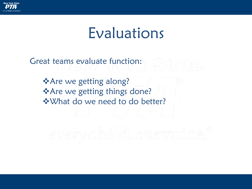

#### Evaluations

Great teams evaluate function:

❖Are we getting along? ❖Are we getting things done? ❖What do we need to do better?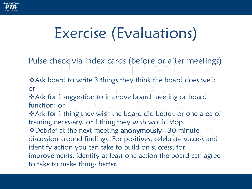

# Exercise (Evaluations)

Pulse check via index cards (before or after meetings)

❖Ask board to write 3 things they think the board does well; or

❖Ask for 1 suggestion to improve board meeting or board function; or

❖Ask for 1 thing they wish the board did better, or one area of training necessary, or 1 thing they wish would stop. ❖Debrief at the next meeting anonymously - 30 minute discussion around findings. For positives, celebrate success and identify action you can take to build on success; for improvements, identify at least one action the board can agree to take to make things better.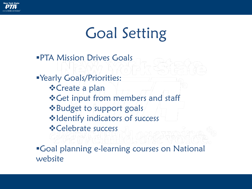

# Goal Setting

**PTA Mission Drives Goals** 

▪Yearly Goals/Priorities: ❖Create a plan ❖Get input from members and staff ❖Budget to support goals ❖Identify indicators of success ❖Celebrate success

▪Goal planning e-learning courses on National website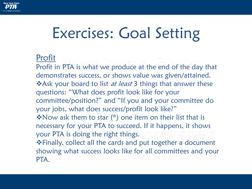

## Exercises: Goal Setting

#### Profit

Profit in PTA is what we produce at the end of the day that demonstrates success, or shows value was given/attained. **Ve** Ask your board to list *at least* 3 things that answer these questions: "What does profit look like for your committee/position?" and "If you and your committee do your jobs, what does success/profit look like?" ❖Now ask them to star (\*) one item on their list that is necessary for your PTA to succeed. If it happens, it shows your PTA is doing the right things.

❖Finally, collect all the cards and put together a document showing what success looks like for all committees and your PTA.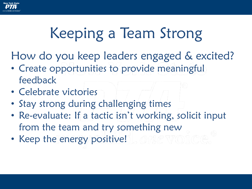

# Keeping a Team Strong

How do you keep leaders engaged & excited?

- Create opportunities to provide meaningful feedback
- Celebrate victories
- Stay strong during challenging times
- Re-evaluate: If a tactic isn't working, solicit input from the team and try something new
- Keep the energy positive!